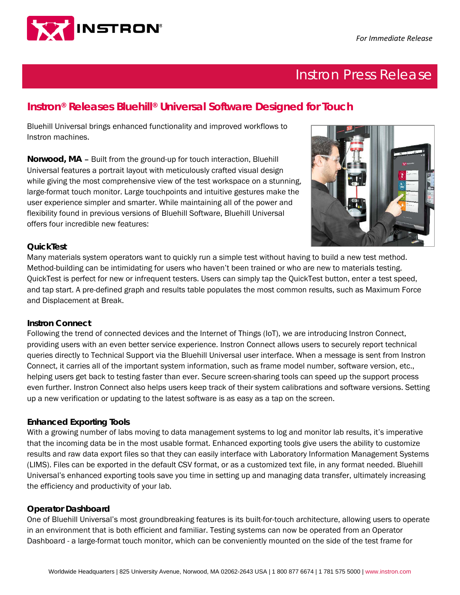

# Instron Press Release

# **Instron® Releases Bluehill® Universal Software Designed for Touch**

Bluehill Universal brings enhanced functionality and improved workflows to Instron machines.

**Norwood, MA** – Built from the ground-up for touch interaction, Bluehill Universal features a portrait layout with meticulously crafted visual design while giving the most comprehensive view of the test workspace on a stunning, large-format touch monitor. Large touchpoints and intuitive gestures make the user experience simpler and smarter. While maintaining all of the power and flexibility found in previous versions of Bluehill Software, Bluehill Universal offers four incredible new features:



## **QuickTest**

Many materials system operators want to quickly run a simple test without having to build a new test method. Method-building can be intimidating for users who haven't been trained or who are new to materials testing. QuickTest is perfect for new or infrequent testers. Users can simply tap the QuickTest button, enter a test speed, and tap start. A pre-defined graph and results table populates the most common results, such as Maximum Force and Displacement at Break.

#### **Instron Connect**

Following the trend of connected devices and the Internet of Things (IoT), we are introducing Instron Connect, providing users with an even better service experience. Instron Connect allows users to securely report technical queries directly to Technical Support via the Bluehill Universal user interface. When a message is sent from Instron Connect, it carries all of the important system information, such as frame model number, software version, etc., helping users get back to testing faster than ever. Secure screen-sharing tools can speed up the support process even further. Instron Connect also helps users keep track of their system calibrations and software versions. Setting up a new verification or updating to the latest software is as easy as a tap on the screen.

### **Enhanced Exporting Tools**

With a growing number of labs moving to data management systems to log and monitor lab results, it's imperative that the incoming data be in the most usable format. Enhanced exporting tools give users the ability to customize results and raw data export files so that they can easily interface with Laboratory Information Management Systems (LIMS). Files can be exported in the default CSV format, or as a customized text file, in any format needed. Bluehill Universal's enhanced exporting tools save you time in setting up and managing data transfer, ultimately increasing the efficiency and productivity of your lab.

#### **Operator Dashboard**

One of Bluehill Universal's most groundbreaking features is its built-for-touch architecture, allowing users to operate in an environment that is both efficient and familiar. Testing systems can now be operated from an Operator Dashboard - a large-format touch monitor, which can be conveniently mounted on the side of the test frame for